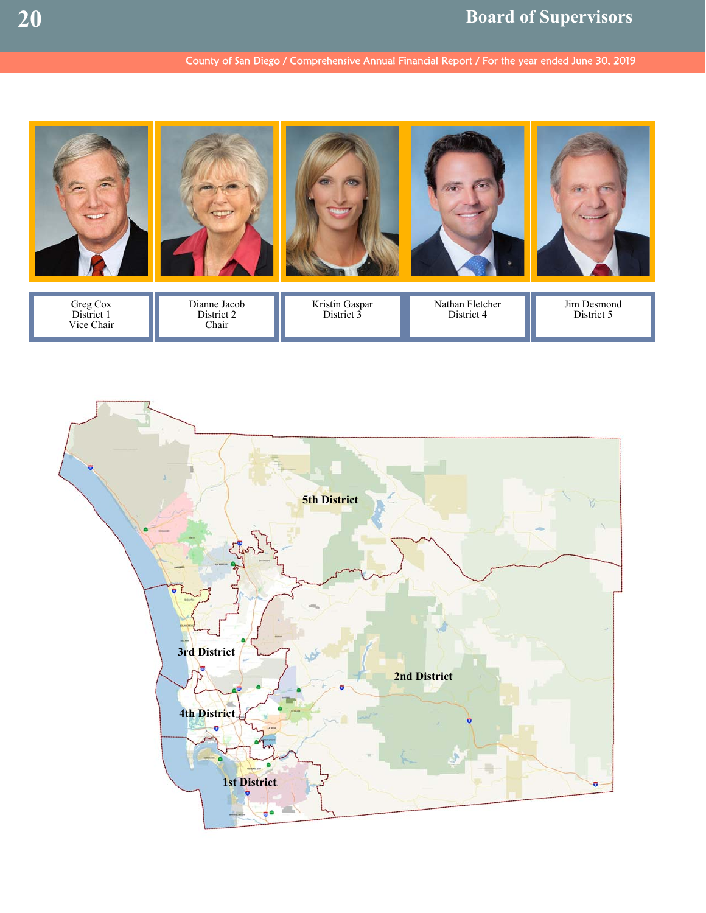# County of San Diego / Comprehensive Annual Financial Report / For the year ended June 30, 2019



Kristin Gaspar District 3

Greg Cox District 1 Vice Chair



District 2 Chair

Nathan Fletcher District 4

Jim Desmond District 5